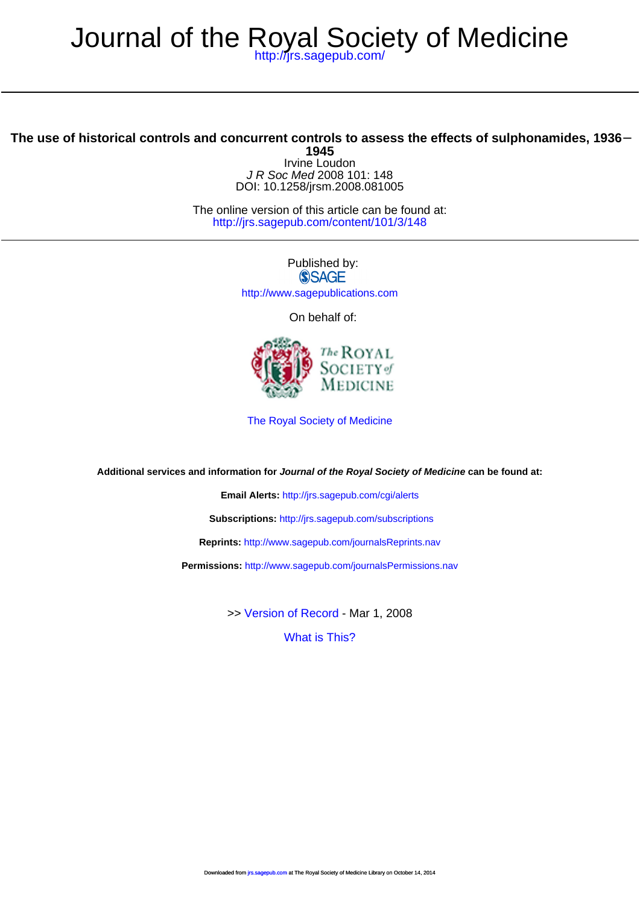#### **1945 The use of historical controls and concurrent controls to assess the effects of sulphonamides, 1936**−

DOI: 10.1258/jrsm.2008.081005 J R Soc Med 2008 101: 148 Irvine Loudon

<http://jrs.sagepub.com/content/101/3/148> The online version of this article can be found at:

> Published by: **SSAGE**

<http://www.sagepublications.com>

On behalf of:



[The Royal Society of Medicine](http://www.rsm.ac.uk/)

**Additional services and information for Journal of the Royal Society of Medicine can be found at:**

**Email Alerts:** <http://jrs.sagepub.com/cgi/alerts>

**Subscriptions:** <http://jrs.sagepub.com/subscriptions>

**Reprints:** <http://www.sagepub.com/journalsReprints.nav>

**Permissions:** <http://www.sagepub.com/journalsPermissions.nav>

>> [Version of Record -](http://jrs.sagepub.com/content/101/3/148.full.pdf) Mar 1, 2008

[What is This?](http://online.sagepub.com/site/sphelp/vorhelp.xhtml)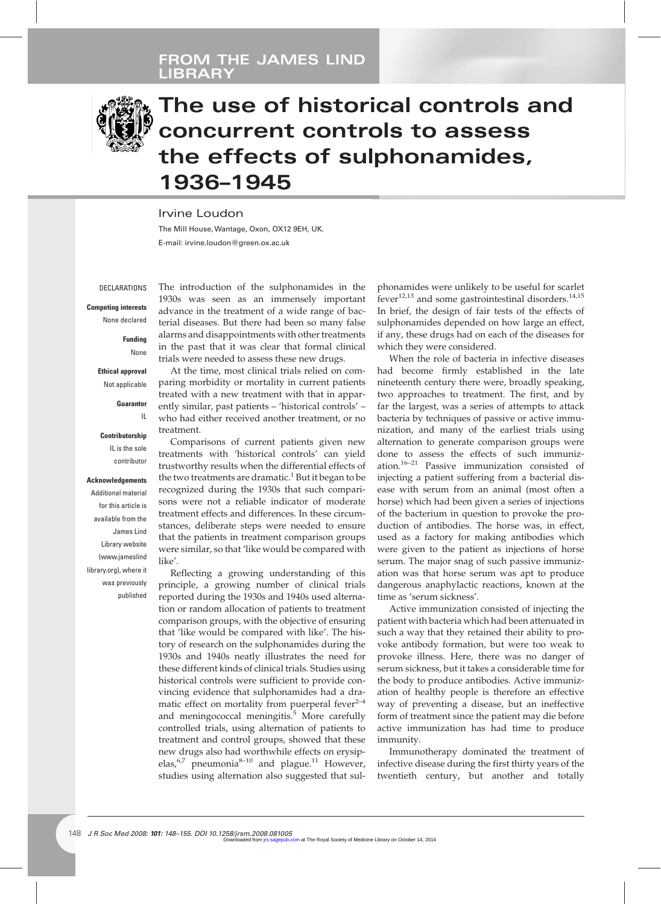# **FROM THE JAMES LIND LIBRARY**



# **The use of historical controls and concurrent controls to assess the effects of sulphonamides, 1936–1945**

### Irvine Loudon

The Mill House, Wantage, Oxon, OX12 9EH, UK. E-mail: irvine.loudon@green.ox.ac.uk

#### DECLARATIONS

**Competing interests**

None declared

**Funding** None

**Ethical approval** Not applicable

> **Guarantor** IL

**Contributorship**

IL is the sole contributor

#### **Acknowledgements**

Additional material for this article is available from the James Lind Library website (www.jameslind library.org), where it was previously published The introduction of the sulphonamides in the 1930s was seen as an immensely important advance in the treatment of a wide range of bacterial diseases. But there had been so many false alarms and disappointments with other treatments in the past that it was clear that formal clinical trials were needed to assess these new drugs.

At the time, most clinical trials relied on comparing morbidity or mortality in current patients treated with a new treatment with that in apparently similar, past patients – 'historical controls' – who had either received another treatment, or no treatment.

Comparisons of current patients given new treatments with 'historical controls' can yield trustworthy results when the differential effects of the two treatments are dramatic.<sup>1</sup> But it began to be recognized during the 1930s that such comparisons were not a reliable indicator of moderate treatment effects and differences. In these circumstances, deliberate steps were needed to ensure that the patients in treatment comparison groups were similar, so that 'like would be compared with like'.

Reflecting a growing understanding of this principle, a growing number of clinical trials reported during the 1930s and 1940s used alternation or random allocation of patients to treatment comparison groups, with the objective of ensuring that 'like would be compared with like'. The history of research on the sulphonamides during the 1930s and 1940s neatly illustrates the need for these different kinds of clinical trials. Studies using historical controls were sufficient to provide convincing evidence that sulphonamides had a dramatic effect on mortality from puerperal fever $2^{-4}$ and meningococcal meningitis.<sup>5</sup> More carefully controlled trials, using alternation of patients to treatment and control groups, showed that these new drugs also had worthwhile effects on erysipelas, $6,7$  pneumonia $8-10$  and plague.<sup>11</sup> However, studies using alternation also suggested that sulphonamides were unlikely to be useful for scarlet  $fever<sup>12,13</sup>$  and some gastrointestinal disorders.<sup>14,15</sup> In brief, the design of fair tests of the effects of sulphonamides depended on how large an effect, if any, these drugs had on each of the diseases for which they were considered.

When the role of bacteria in infective diseases had become firmly established in the late nineteenth century there were, broadly speaking, two approaches to treatment. The first, and by far the largest, was a series of attempts to attack bacteria by techniques of passive or active immunization, and many of the earliest trials using alternation to generate comparison groups were done to assess the effects of such immunization.16–21 Passive immunization consisted of injecting a patient suffering from a bacterial disease with serum from an animal (most often a horse) which had been given a series of injections of the bacterium in question to provoke the production of antibodies. The horse was, in effect, used as a factory for making antibodies which were given to the patient as injections of horse serum. The major snag of such passive immunization was that horse serum was apt to produce dangerous anaphylactic reactions, known at the time as 'serum sickness'.

Active immunization consisted of injecting the patient with bacteria which had been attenuated in such a way that they retained their ability to provoke antibody formation, but were too weak to provoke illness. Here, there was no danger of serum sickness, but it takes a considerable time for the body to produce antibodies. Active immunization of healthy people is therefore an effective way of preventing a disease, but an ineffective form of treatment since the patient may die before active immunization has had time to produce immunity.

Immunotherapy dominated the treatment of infective disease during the first thirty years of the twentieth century, but another and totally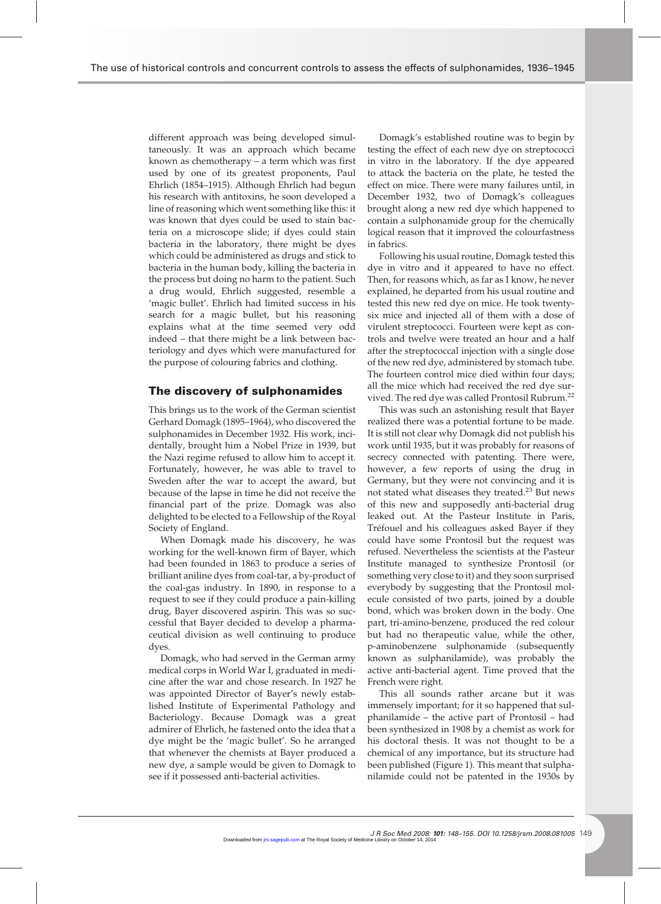different approach was being developed simultaneously. It was an approach which became known as chemotherapy – a term which was first used by one of its greatest proponents, Paul Ehrlich (1854–1915). Although Ehrlich had begun his research with antitoxins, he soon developed a line of reasoning which went something like this: it was known that dyes could be used to stain bacteria on a microscope slide; if dyes could stain bacteria in the laboratory, there might be dyes which could be administered as drugs and stick to bacteria in the human body, killing the bacteria in the process but doing no harm to the patient. Such a drug would, Ehrlich suggested, resemble a 'magic bullet'. Ehrlich had limited success in his search for a magic bullet, but his reasoning explains what at the time seemed very odd indeed – that there might be a link between bacteriology and dyes which were manufactured for the purpose of colouring fabrics and clothing.

### **The discovery of sulphonamides**

This brings us to the work of the German scientist Gerhard Domagk (1895–1964), who discovered the sulphonamides in December 1932. His work, incidentally, brought him a Nobel Prize in 1939, but the Nazi regime refused to allow him to accept it. Fortunately, however, he was able to travel to Sweden after the war to accept the award, but because of the lapse in time he did not receive the financial part of the prize. Domagk was also delighted to be elected to a Fellowship of the Royal Society of England.

When Domagk made his discovery, he was working for the well-known firm of Bayer, which had been founded in 1863 to produce a series of brilliant aniline dyes from coal-tar, a by-product of the coal-gas industry. In 1890, in response to a request to see if they could produce a pain-killing drug, Bayer discovered aspirin. This was so successful that Bayer decided to develop a pharmaceutical division as well continuing to produce dyes.

Domagk, who had served in the German army medical corps in World War I, graduated in medicine after the war and chose research. In 1927 he was appointed Director of Bayer's newly established Institute of Experimental Pathology and Bacteriology. Because Domagk was a great admirer of Ehrlich, he fastened onto the idea that a dye might be the 'magic bullet'. So he arranged that whenever the chemists at Bayer produced a new dye, a sample would be given to Domagk to see if it possessed anti-bacterial activities.

Domagk's established routine was to begin by testing the effect of each new dye on streptococci in vitro in the laboratory. If the dye appeared to attack the bacteria on the plate, he tested the effect on mice. There were many failures until, in December 1932, two of Domagk's colleagues brought along a new red dye which happened to contain a sulphonamide group for the chemically logical reason that it improved the colourfastness in fabrics.

Following his usual routine, Domagk tested this dye in vitro and it appeared to have no effect. Then, for reasons which, as far as I know, he never explained, he departed from his usual routine and tested this new red dye on mice. He took twentysix mice and injected all of them with a dose of virulent streptococci. Fourteen were kept as controls and twelve were treated an hour and a half after the streptococcal injection with a single dose of the new red dye, administered by stomach tube. The fourteen control mice died within four days; all the mice which had received the red dye survived. The red dye was called Prontosil Rubrum.<sup>22</sup>

This was such an astonishing result that Bayer realized there was a potential fortune to be made. It is still not clear why Domagk did not publish his work until 1935, but it was probably for reasons of secrecy connected with patenting. There were, however, a few reports of using the drug in Germany, but they were not convincing and it is not stated what diseases they treated.<sup>23</sup> But news of this new and supposedly anti-bacterial drug leaked out. At the Pasteur Institute in Paris, Tréfouel and his colleagues asked Bayer if they could have some Prontosil but the request was refused. Nevertheless the scientists at the Pasteur Institute managed to synthesize Prontosil (or something very close to it) and they soon surprised everybody by suggesting that the Prontosil molecule consisted of two parts, joined by a double bond, which was broken down in the body. One part, tri-amino-benzene, produced the red colour but had no therapeutic value, while the other, p-aminobenzene sulphonamide (subsequently known as sulphanilamide), was probably the active anti-bacterial agent. Time proved that the French were right.

This all sounds rather arcane but it was immensely important; for it so happened that sulphanilamide – the active part of Prontosil – had been synthesized in 1908 by a chemist as work for his doctoral thesis. It was not thought to be a chemical of any importance, but its structure had been published (Figure 1). This meant that sulphanilamide could not be patented in the 1930s by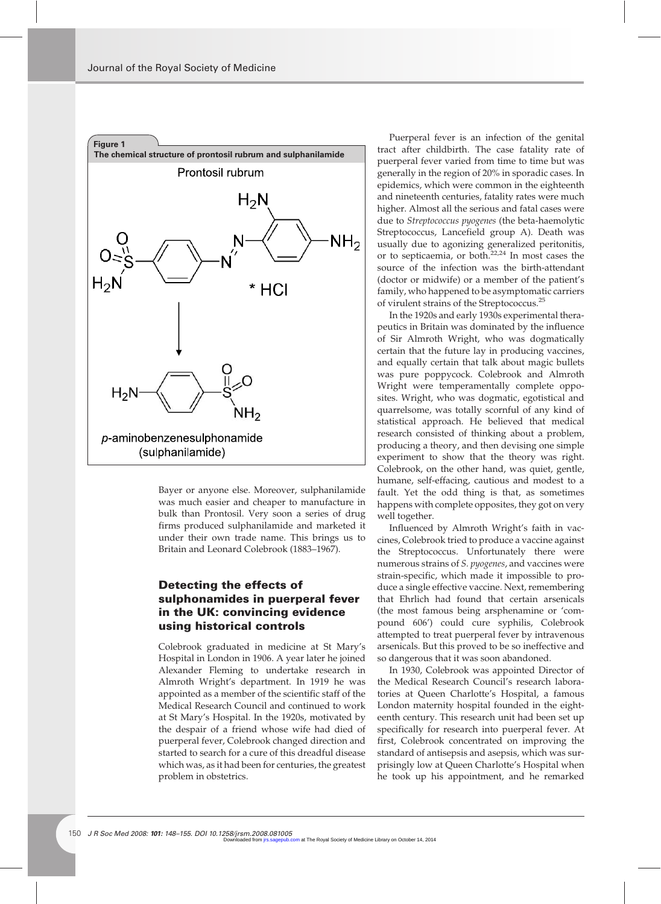

Bayer or anyone else. Moreover, sulphanilamide was much easier and cheaper to manufacture in bulk than Prontosil. Very soon a series of drug firms produced sulphanilamide and marketed it under their own trade name. This brings us to Britain and Leonard Colebrook (1883–1967).

## **Detecting the effects of sulphonamides in puerperal fever in the UK: convincing evidence using historical controls**

Colebrook graduated in medicine at St Mary's Hospital in London in 1906. A year later he joined Alexander Fleming to undertake research in Almroth Wright's department. In 1919 he was appointed as a member of the scientific staff of the Medical Research Council and continued to work at St Mary's Hospital. In the 1920s, motivated by the despair of a friend whose wife had died of puerperal fever, Colebrook changed direction and started to search for a cure of this dreadful disease which was, as it had been for centuries, the greatest problem in obstetrics.

Puerperal fever is an infection of the genital tract after childbirth. The case fatality rate of puerperal fever varied from time to time but was generally in the region of 20% in sporadic cases. In epidemics, which were common in the eighteenth and nineteenth centuries, fatality rates were much higher. Almost all the serious and fatal cases were due to *Streptococcus pyogenes* (the beta-haemolytic Streptococcus, Lancefield group A). Death was usually due to agonizing generalized peritonitis, or to septicaemia, or both.22,24 In most cases the source of the infection was the birth-attendant (doctor or midwife) or a member of the patient's family, who happened to be asymptomatic carriers of virulent strains of the Streptococcus.<sup>25</sup>

In the 1920s and early 1930s experimental therapeutics in Britain was dominated by the influence of Sir Almroth Wright, who was dogmatically certain that the future lay in producing vaccines, and equally certain that talk about magic bullets was pure poppycock. Colebrook and Almroth Wright were temperamentally complete opposites. Wright, who was dogmatic, egotistical and quarrelsome, was totally scornful of any kind of statistical approach. He believed that medical research consisted of thinking about a problem, producing a theory, and then devising one simple experiment to show that the theory was right. Colebrook, on the other hand, was quiet, gentle, humane, self-effacing, cautious and modest to a fault. Yet the odd thing is that, as sometimes happens with complete opposites, they got on very well together.

Influenced by Almroth Wright's faith in vaccines, Colebrook tried to produce a vaccine against the Streptococcus. Unfortunately there were numerous strains of *S. pyogenes*, and vaccines were strain-specific, which made it impossible to produce a single effective vaccine. Next, remembering that Ehrlich had found that certain arsenicals (the most famous being arsphenamine or 'compound 606') could cure syphilis, Colebrook attempted to treat puerperal fever by intravenous arsenicals. But this proved to be so ineffective and so dangerous that it was soon abandoned.

In 1930, Colebrook was appointed Director of the Medical Research Council's research laboratories at Queen Charlotte's Hospital, a famous London maternity hospital founded in the eighteenth century. This research unit had been set up specifically for research into puerperal fever. At first, Colebrook concentrated on improving the standard of antisepsis and asepsis, which was surprisingly low at Queen Charlotte's Hospital when he took up his appointment, and he remarked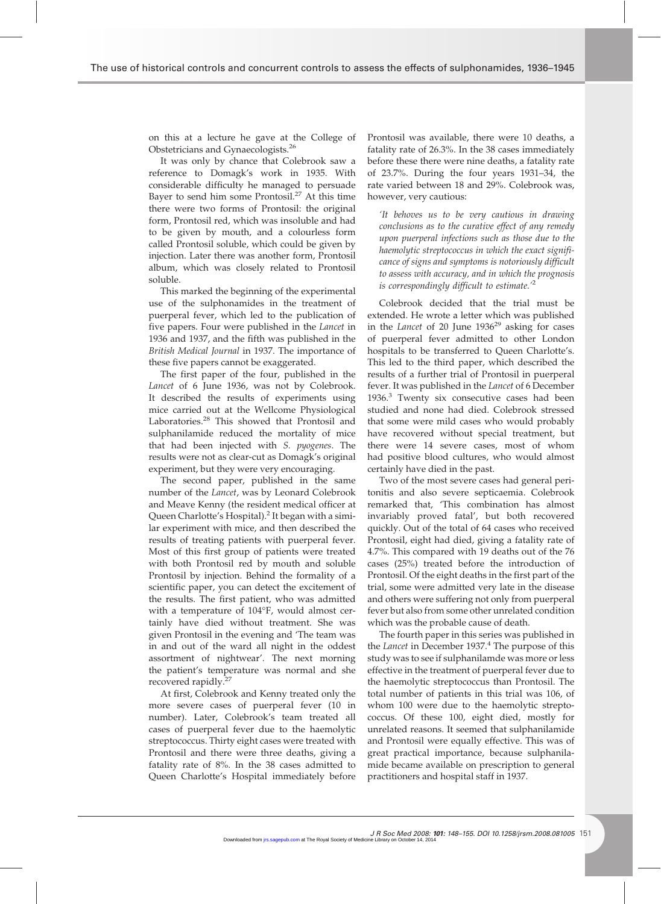on this at a lecture he gave at the College of Obstetricians and Gynaecologists.<sup>26</sup>

It was only by chance that Colebrook saw a reference to Domagk's work in 1935. With considerable difficulty he managed to persuade Bayer to send him some Prontosil.<sup>27</sup> At this time there were two forms of Prontosil: the original form, Prontosil red, which was insoluble and had to be given by mouth, and a colourless form called Prontosil soluble, which could be given by injection. Later there was another form, Prontosil album, which was closely related to Prontosil soluble.

This marked the beginning of the experimental use of the sulphonamides in the treatment of puerperal fever, which led to the publication of five papers. Four were published in the *Lancet* in 1936 and 1937, and the fifth was published in the *British Medical Journal* in 1937. The importance of these five papers cannot be exaggerated.

The first paper of the four, published in the *Lancet* of 6 June 1936, was not by Colebrook. It described the results of experiments using mice carried out at the Wellcome Physiological Laboratories.<sup>28</sup> This showed that Prontosil and sulphanilamide reduced the mortality of mice that had been injected with *S. pyogenes*. The results were not as clear-cut as Domagk's original experiment, but they were very encouraging.

The second paper, published in the same number of the *Lancet*, was by Leonard Colebrook and Meave Kenny (the resident medical officer at Queen Charlotte's Hospital).<sup>2</sup> It began with a similar experiment with mice, and then described the results of treating patients with puerperal fever. Most of this first group of patients were treated with both Prontosil red by mouth and soluble Prontosil by injection. Behind the formality of a scientific paper, you can detect the excitement of the results. The first patient, who was admitted with a temperature of 104°F, would almost certainly have died without treatment. She was given Prontosil in the evening and 'The team was in and out of the ward all night in the oddest assortment of nightwear'. The next morning the patient's temperature was normal and she recovered rapidly.<sup>27</sup>

At first, Colebrook and Kenny treated only the more severe cases of puerperal fever (10 in number). Later, Colebrook's team treated all cases of puerperal fever due to the haemolytic streptococcus. Thirty eight cases were treated with Prontosil and there were three deaths, giving a fatality rate of 8%. In the 38 cases admitted to Queen Charlotte's Hospital immediately before

Prontosil was available, there were 10 deaths, a fatality rate of 26.3%. In the 38 cases immediately before these there were nine deaths, a fatality rate of 23.7%. During the four years 1931–34, the rate varied between 18 and 29%. Colebrook was, however, very cautious:

*'It behoves us to be very cautious in drawing conclusions as to the curative effect of any remedy upon puerperal infections such as those due to the haemolytic streptococcus in which the exact significance of signs and symptoms is notoriously difficult to assess with accuracy, and in which the prognosis is correspondingly difficult to estimate.'*<sup>2</sup>

Colebrook decided that the trial must be extended. He wrote a letter which was published in the *Lancet* of 20 June  $1936<sup>29</sup>$  asking for cases of puerperal fever admitted to other London hospitals to be transferred to Queen Charlotte's. This led to the third paper, which described the results of a further trial of Prontosil in puerperal fever. It was published in the *Lancet* of 6 December 1936.<sup>3</sup> Twenty six consecutive cases had been studied and none had died. Colebrook stressed that some were mild cases who would probably have recovered without special treatment, but there were 14 severe cases, most of whom had positive blood cultures, who would almost certainly have died in the past.

Two of the most severe cases had general peritonitis and also severe septicaemia. Colebrook remarked that, 'This combination has almost invariably proved fatal', but both recovered quickly. Out of the total of 64 cases who received Prontosil, eight had died, giving a fatality rate of 4.7%. This compared with 19 deaths out of the 76 cases (25%) treated before the introduction of Prontosil. Of the eight deaths in the first part of the trial, some were admitted very late in the disease and others were suffering not only from puerperal fever but also from some other unrelated condition which was the probable cause of death.

The fourth paper in this series was published in the *Lancet* in December 1937.<sup>4</sup> The purpose of this study was to see if sulphanilamde was more or less effective in the treatment of puerperal fever due to the haemolytic streptococcus than Prontosil. The total number of patients in this trial was 106, of whom 100 were due to the haemolytic streptococcus. Of these 100, eight died, mostly for unrelated reasons. It seemed that sulphanilamide and Prontosil were equally effective. This was of great practical importance, because sulphanilamide became available on prescription to general practitioners and hospital staff in 1937.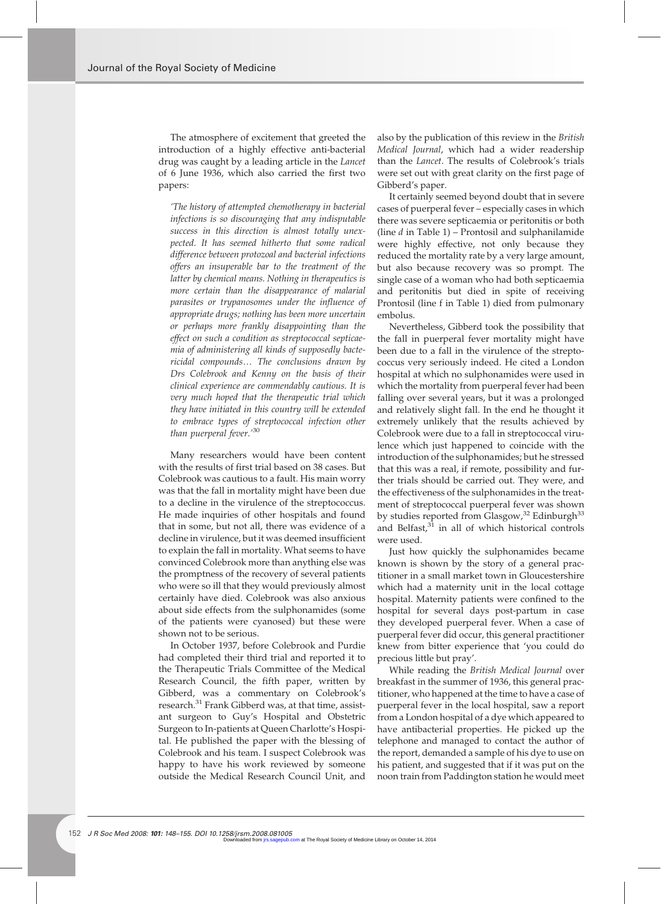The atmosphere of excitement that greeted the introduction of a highly effective anti-bacterial drug was caught by a leading article in the *Lancet* of 6 June 1936, which also carried the first two papers:

*'The history of attempted chemotherapy in bacterial infections is so discouraging that any indisputable success in this direction is almost totally unexpected. It has seemed hitherto that some radical difference between protozoal and bacterial infections offers an insuperable bar to the treatment of the latter by chemical means. Nothing in therapeutics is more certain than the disappearance of malarial parasites or trypanosomes under the influence of appropriate drugs; nothing has been more uncertain or perhaps more frankly disappointing than the effect on such a condition as streptococcal septicaemia of administering all kinds of supposedly bactericidal compounds*. *The conclusions drawn by Drs Colebrook and Kenny on the basis of their clinical experience are commendably cautious. It is very much hoped that the therapeutic trial which they have initiated in this country will be extended to embrace types of streptococcal infection other than puerperal fever.'*<sup>30</sup>

Many researchers would have been content with the results of first trial based on 38 cases. But Colebrook was cautious to a fault. His main worry was that the fall in mortality might have been due to a decline in the virulence of the streptococcus. He made inquiries of other hospitals and found that in some, but not all, there was evidence of a decline in virulence, but it was deemed insufficient to explain the fall in mortality. What seems to have convinced Colebrook more than anything else was the promptness of the recovery of several patients who were so ill that they would previously almost certainly have died. Colebrook was also anxious about side effects from the sulphonamides (some of the patients were cyanosed) but these were shown not to be serious.

In October 1937, before Colebrook and Purdie had completed their third trial and reported it to the Therapeutic Trials Committee of the Medical Research Council, the fifth paper, written by Gibberd, was a commentary on Colebrook's research.<sup>31</sup> Frank Gibberd was, at that time, assistant surgeon to Guy's Hospital and Obstetric Surgeon to In-patients at Queen Charlotte's Hospital. He published the paper with the blessing of Colebrook and his team. I suspect Colebrook was happy to have his work reviewed by someone outside the Medical Research Council Unit, and

also by the publication of this review in the *British Medical Journal*, which had a wider readership than the *Lancet*. The results of Colebrook's trials were set out with great clarity on the first page of Gibberd's paper.

It certainly seemed beyond doubt that in severe cases of puerperal fever – especially cases in which there was severe septicaemia or peritonitis or both (line *d* in Table 1) – Prontosil and sulphanilamide were highly effective, not only because they reduced the mortality rate by a very large amount, but also because recovery was so prompt. The single case of a woman who had both septicaemia and peritonitis but died in spite of receiving Prontosil (line f in Table 1) died from pulmonary embolus.

Nevertheless, Gibberd took the possibility that the fall in puerperal fever mortality might have been due to a fall in the virulence of the streptococcus very seriously indeed. He cited a London hospital at which no sulphonamides were used in which the mortality from puerperal fever had been falling over several years, but it was a prolonged and relatively slight fall. In the end he thought it extremely unlikely that the results achieved by Colebrook were due to a fall in streptococcal virulence which just happened to coincide with the introduction of the sulphonamides; but he stressed that this was a real, if remote, possibility and further trials should be carried out. They were, and the effectiveness of the sulphonamides in the treatment of streptococcal puerperal fever was shown by studies reported from Glasgow,<sup>32</sup> Edinburgh<sup>33</sup> and Belfast, $31$  in all of which historical controls were used.

Just how quickly the sulphonamides became known is shown by the story of a general practitioner in a small market town in Gloucestershire which had a maternity unit in the local cottage hospital. Maternity patients were confined to the hospital for several days post-partum in case they developed puerperal fever. When a case of puerperal fever did occur, this general practitioner knew from bitter experience that 'you could do precious little but pray'.

While reading the *British Medical Journal* over breakfast in the summer of 1936, this general practitioner, who happened at the time to have a case of puerperal fever in the local hospital, saw a report from a London hospital of a dye which appeared to have antibacterial properties. He picked up the telephone and managed to contact the author of the report, demanded a sample of his dye to use on his patient, and suggested that if it was put on the noon train from Paddington station he would meet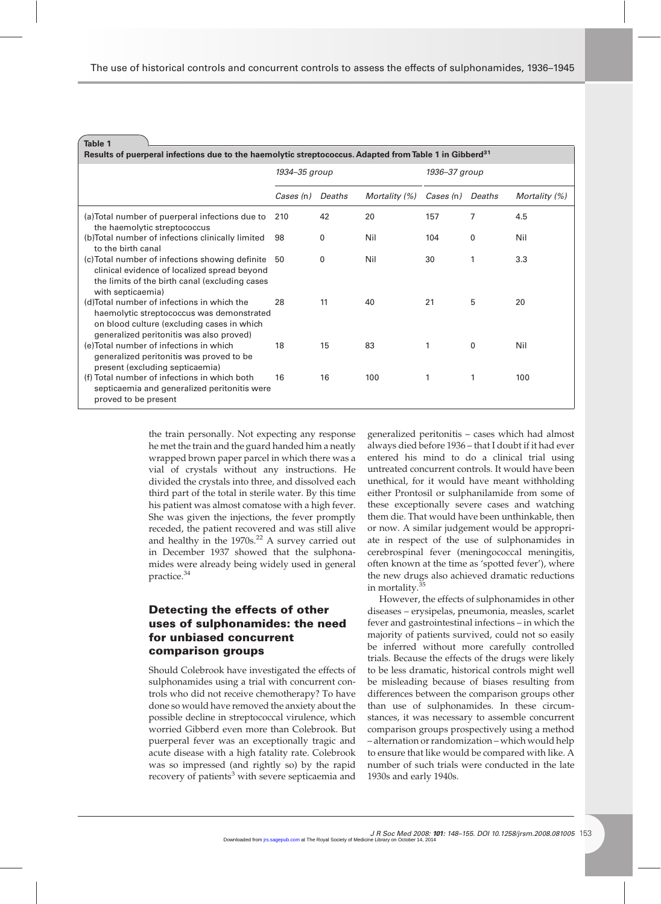| Table 1                                                                                                                                                                           |               |        |               |                           |        |               |
|-----------------------------------------------------------------------------------------------------------------------------------------------------------------------------------|---------------|--------|---------------|---------------------------|--------|---------------|
| Results of puerperal infections due to the haemolytic streptococcus. Adapted from Table 1 in Gibberd <sup>31</sup>                                                                |               |        |               |                           |        |               |
|                                                                                                                                                                                   | 1934-35 group |        |               | 1936-37 group             |        |               |
|                                                                                                                                                                                   | Cases (n)     | Deaths | Mortality (%) | <i>Cases (</i> n <i>)</i> | Deaths | Mortality (%) |
| (a) Total number of puerperal infections due to<br>the haemolytic streptococcus                                                                                                   | 210           | 42     | 20            | 157                       | 7      | 4.5           |
| (b)Total number of infections clinically limited<br>to the birth canal                                                                                                            | 98            | 0      | Nil           | 104                       | 0      | Nil           |
| (c) Total number of infections showing definite<br>clinical evidence of localized spread beyond<br>the limits of the birth canal (excluding cases<br>with septicaemia)            | 50            | 0      | Nil           | 30                        | 1      | 3.3           |
| (d)Total number of infections in which the<br>haemolytic streptococcus was demonstrated<br>on blood culture (excluding cases in which<br>generalized peritonitis was also proved) | 28            | 11     | 40            | 21                        | 5      | 20            |
| (e)Total number of infections in which<br>generalized peritonitis was proved to be<br>present (excluding septicaemia)                                                             | 18            | 15     | 83            | 1                         | 0      | Nil           |
| (f) Total number of infections in which both<br>septicaemia and generalized peritonitis were<br>proved to be present                                                              | 16            | 16     | 100           | 1                         | 1      | 100           |

the train personally. Not expecting any response he met the train and the guard handed him a neatly wrapped brown paper parcel in which there was a vial of crystals without any instructions. He divided the crystals into three, and dissolved each third part of the total in sterile water. By this time his patient was almost comatose with a high fever. She was given the injections, the fever promptly receded, the patient recovered and was still alive and healthy in the  $1970s<sup>22</sup>$  A survey carried out in December 1937 showed that the sulphonamides were already being widely used in general practice.<sup>34</sup>

# **Detecting the effects of other uses of sulphonamides: the need for unbiased concurrent comparison groups**

Should Colebrook have investigated the effects of sulphonamides using a trial with concurrent controls who did not receive chemotherapy? To have done so would have removed the anxiety about the possible decline in streptococcal virulence, which worried Gibberd even more than Colebrook. But puerperal fever was an exceptionally tragic and acute disease with a high fatality rate. Colebrook was so impressed (and rightly so) by the rapid recovery of patients<sup>3</sup> with severe septicaemia and

generalized peritonitis – cases which had almost always died before 1936 – that I doubt if it had ever entered his mind to do a clinical trial using untreated concurrent controls. It would have been unethical, for it would have meant withholding either Prontosil or sulphanilamide from some of these exceptionally severe cases and watching them die. That would have been unthinkable, then or now. A similar judgement would be appropriate in respect of the use of sulphonamides in cerebrospinal fever (meningococcal meningitis, often known at the time as 'spotted fever'), where the new drugs also achieved dramatic reductions in mortality.<sup>35</sup>

However, the effects of sulphonamides in other diseases – erysipelas, pneumonia, measles, scarlet fever and gastrointestinal infections – in which the majority of patients survived, could not so easily be inferred without more carefully controlled trials. Because the effects of the drugs were likely to be less dramatic, historical controls might well be misleading because of biases resulting from differences between the comparison groups other than use of sulphonamides. In these circumstances, it was necessary to assemble concurrent comparison groups prospectively using a method – alternation or randomization – which would help to ensure that like would be compared with like. A number of such trials were conducted in the late 1930s and early 1940s.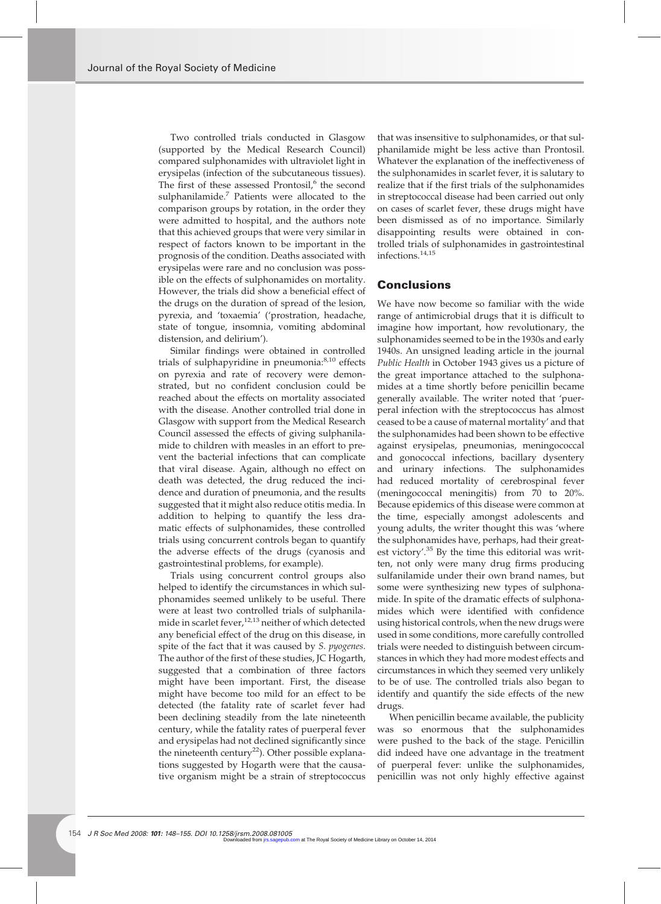Two controlled trials conducted in Glasgow (supported by the Medical Research Council) compared sulphonamides with ultraviolet light in erysipelas (infection of the subcutaneous tissues). The first of these assessed Prontosil,<sup>6</sup> the second sulphanilamide.<sup>7</sup> Patients were allocated to the comparison groups by rotation, in the order they were admitted to hospital, and the authors note that this achieved groups that were very similar in respect of factors known to be important in the prognosis of the condition. Deaths associated with erysipelas were rare and no conclusion was possible on the effects of sulphonamides on mortality. However, the trials did show a beneficial effect of the drugs on the duration of spread of the lesion, pyrexia, and 'toxaemia' ('prostration, headache, state of tongue, insomnia, vomiting abdominal distension, and delirium').

Similar findings were obtained in controlled trials of sulphapyridine in pneumonia:<sup>8,10</sup> effects on pyrexia and rate of recovery were demonstrated, but no confident conclusion could be reached about the effects on mortality associated with the disease. Another controlled trial done in Glasgow with support from the Medical Research Council assessed the effects of giving sulphanilamide to children with measles in an effort to prevent the bacterial infections that can complicate that viral disease. Again, although no effect on death was detected, the drug reduced the incidence and duration of pneumonia, and the results suggested that it might also reduce otitis media. In addition to helping to quantify the less dramatic effects of sulphonamides, these controlled trials using concurrent controls began to quantify the adverse effects of the drugs (cyanosis and gastrointestinal problems, for example).

Trials using concurrent control groups also helped to identify the circumstances in which sulphonamides seemed unlikely to be useful. There were at least two controlled trials of sulphanilamide in scarlet fever, $12,13$  neither of which detected any beneficial effect of the drug on this disease, in spite of the fact that it was caused by *S. pyogenes*. The author of the first of these studies, JC Hogarth, suggested that a combination of three factors might have been important. First, the disease might have become too mild for an effect to be detected (the fatality rate of scarlet fever had been declining steadily from the late nineteenth century, while the fatality rates of puerperal fever and erysipelas had not declined significantly since the nineteenth century<sup>22</sup>). Other possible explanations suggested by Hogarth were that the causative organism might be a strain of streptococcus

that was insensitive to sulphonamides, or that sulphanilamide might be less active than Prontosil. Whatever the explanation of the ineffectiveness of the sulphonamides in scarlet fever, it is salutary to realize that if the first trials of the sulphonamides in streptococcal disease had been carried out only on cases of scarlet fever, these drugs might have been dismissed as of no importance. Similarly disappointing results were obtained in controlled trials of sulphonamides in gastrointestinal infections.14,15

## **Conclusions**

We have now become so familiar with the wide range of antimicrobial drugs that it is difficult to imagine how important, how revolutionary, the sulphonamides seemed to be in the 1930s and early 1940s. An unsigned leading article in the journal *Public Health* in October 1943 gives us a picture of the great importance attached to the sulphonamides at a time shortly before penicillin became generally available. The writer noted that 'puerperal infection with the streptococcus has almost ceased to be a cause of maternal mortality' and that the sulphonamides had been shown to be effective against erysipelas, pneumonias, meningococcal and gonococcal infections, bacillary dysentery and urinary infections. The sulphonamides had reduced mortality of cerebrospinal fever (meningococcal meningitis) from 70 to 20%. Because epidemics of this disease were common at the time, especially amongst adolescents and young adults, the writer thought this was 'where the sulphonamides have, perhaps, had their greatest victory'.<sup>35</sup> By the time this editorial was written, not only were many drug firms producing sulfanilamide under their own brand names, but some were synthesizing new types of sulphonamide. In spite of the dramatic effects of sulphonamides which were identified with confidence using historical controls, when the new drugs were used in some conditions, more carefully controlled trials were needed to distinguish between circumstances in which they had more modest effects and circumstances in which they seemed very unlikely to be of use. The controlled trials also began to identify and quantify the side effects of the new drugs.

When penicillin became available, the publicity was so enormous that the sulphonamides were pushed to the back of the stage. Penicillin did indeed have one advantage in the treatment of puerperal fever: unlike the sulphonamides, penicillin was not only highly effective against